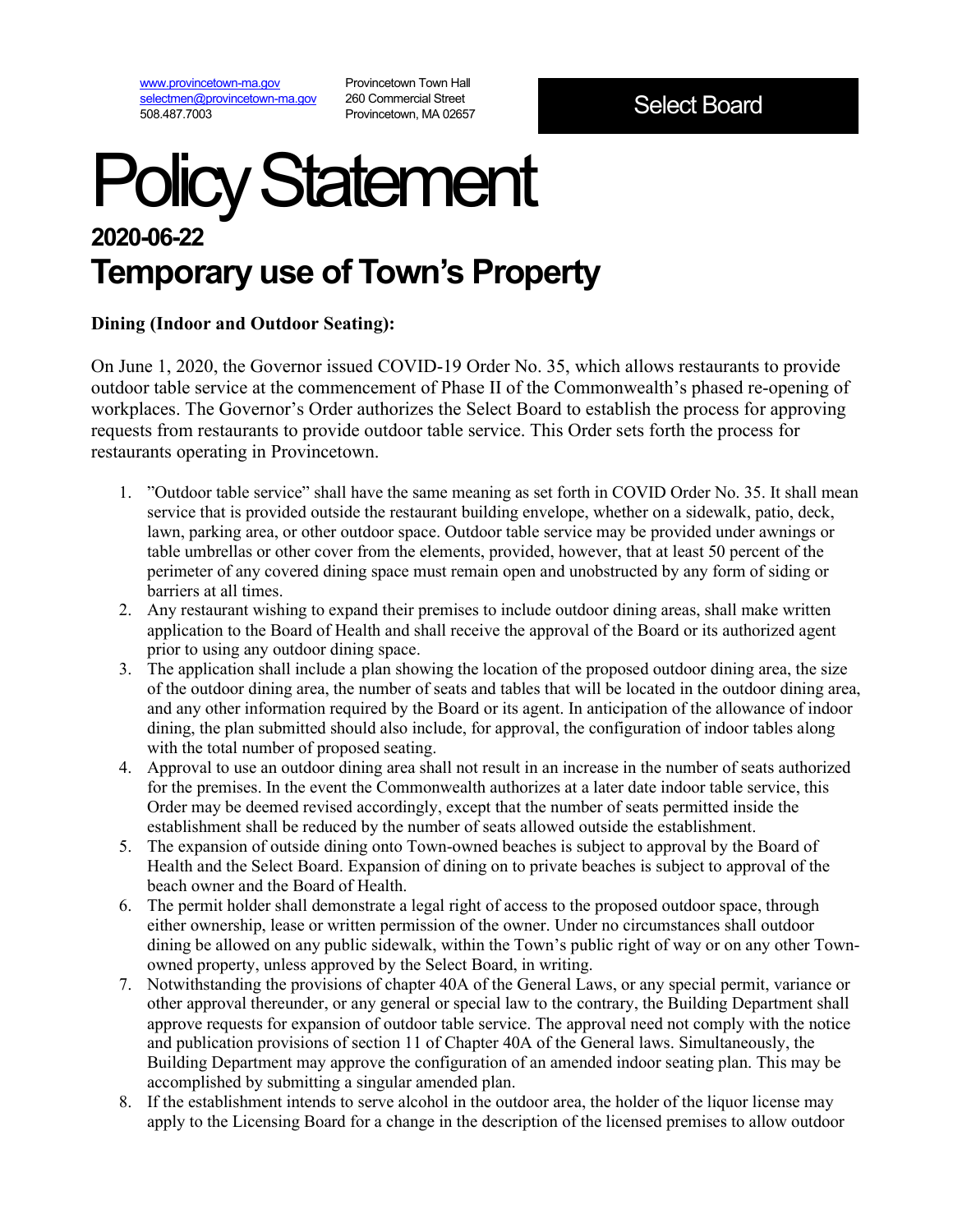[www.provincetown-ma.gov](http://www.provincetown-ma.gov/) [selectmen@provincetown-ma.gov](mailto:selectmen@provincetown-ma.gov) 508.487.7003

Provincetown Town Hall 260 Commercial Street Provincetown, MA 02657

# Policy Statement **2020-06-22 Temporary use of Town's Property**

#### **Dining (Indoor and Outdoor Seating):**

On June 1, 2020, the Governor issued COVID-19 Order No. 35, which allows restaurants to provide outdoor table service at the commencement of Phase II of the Commonwealth's phased re-opening of workplaces. The Governor's Order authorizes the Select Board to establish the process for approving requests from restaurants to provide outdoor table service. This Order sets forth the process for restaurants operating in Provincetown.

- 1. "Outdoor table service" shall have the same meaning as set forth in COVID Order No. 35. It shall mean service that is provided outside the restaurant building envelope, whether on a sidewalk, patio, deck, lawn, parking area, or other outdoor space. Outdoor table service may be provided under awnings or table umbrellas or other cover from the elements, provided, however, that at least 50 percent of the perimeter of any covered dining space must remain open and unobstructed by any form of siding or barriers at all times.
- 2. Any restaurant wishing to expand their premises to include outdoor dining areas, shall make written application to the Board of Health and shall receive the approval of the Board or its authorized agent prior to using any outdoor dining space.
- 3. The application shall include a plan showing the location of the proposed outdoor dining area, the size of the outdoor dining area, the number of seats and tables that will be located in the outdoor dining area, and any other information required by the Board or its agent. In anticipation of the allowance of indoor dining, the plan submitted should also include, for approval, the configuration of indoor tables along with the total number of proposed seating.
- 4. Approval to use an outdoor dining area shall not result in an increase in the number of seats authorized for the premises. In the event the Commonwealth authorizes at a later date indoor table service, this Order may be deemed revised accordingly, except that the number of seats permitted inside the establishment shall be reduced by the number of seats allowed outside the establishment.
- 5. The expansion of outside dining onto Town-owned beaches is subject to approval by the Board of Health and the Select Board. Expansion of dining on to private beaches is subject to approval of the beach owner and the Board of Health.
- 6. The permit holder shall demonstrate a legal right of access to the proposed outdoor space, through either ownership, lease or written permission of the owner. Under no circumstances shall outdoor dining be allowed on any public sidewalk, within the Town's public right of way or on any other Townowned property, unless approved by the Select Board, in writing.
- 7. Notwithstanding the provisions of chapter 40A of the General Laws, or any special permit, variance or other approval thereunder, or any general or special law to the contrary, the Building Department shall approve requests for expansion of outdoor table service. The approval need not comply with the notice and publication provisions of section 11 of Chapter 40A of the General laws. Simultaneously, the Building Department may approve the configuration of an amended indoor seating plan. This may be accomplished by submitting a singular amended plan.
- 8. If the establishment intends to serve alcohol in the outdoor area, the holder of the liquor license may apply to the Licensing Board for a change in the description of the licensed premises to allow outdoor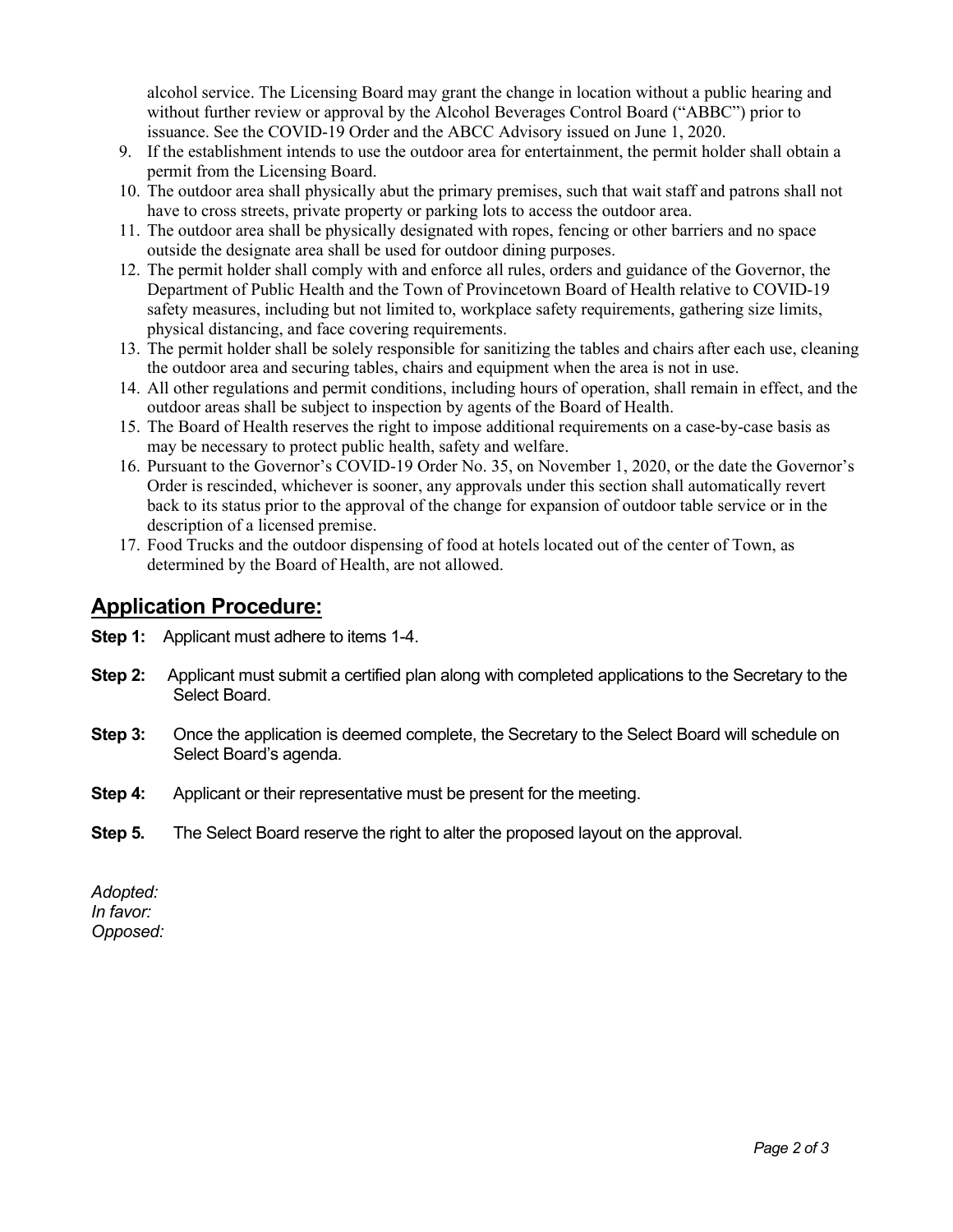alcohol service. The Licensing Board may grant the change in location without a public hearing and without further review or approval by the Alcohol Beverages Control Board ("ABBC") prior to issuance. See the COVID-19 Order and the ABCC Advisory issued on June 1, 2020.

- 9. If the establishment intends to use the outdoor area for entertainment, the permit holder shall obtain a permit from the Licensing Board.
- 10. The outdoor area shall physically abut the primary premises, such that wait staff and patrons shall not have to cross streets, private property or parking lots to access the outdoor area.
- 11. The outdoor area shall be physically designated with ropes, fencing or other barriers and no space outside the designate area shall be used for outdoor dining purposes.
- 12. The permit holder shall comply with and enforce all rules, orders and guidance of the Governor, the Department of Public Health and the Town of Provincetown Board of Health relative to COVID-19 safety measures, including but not limited to, workplace safety requirements, gathering size limits, physical distancing, and face covering requirements.
- 13. The permit holder shall be solely responsible for sanitizing the tables and chairs after each use, cleaning the outdoor area and securing tables, chairs and equipment when the area is not in use.
- 14. All other regulations and permit conditions, including hours of operation, shall remain in effect, and the outdoor areas shall be subject to inspection by agents of the Board of Health.
- 15. The Board of Health reserves the right to impose additional requirements on a case-by-case basis as may be necessary to protect public health, safety and welfare.
- 16. Pursuant to the Governor's COVID-19 Order No. 35, on November 1, 2020, or the date the Governor's Order is rescinded, whichever is sooner, any approvals under this section shall automatically revert back to its status prior to the approval of the change for expansion of outdoor table service or in the description of a licensed premise.
- 17. Food Trucks and the outdoor dispensing of food at hotels located out of the center of Town, as determined by the Board of Health, are not allowed.

### **Application Procedure:**

- **Step 1:** Applicant must adhere to items 1-4.
- **Step 2:** Applicant must submit a certified plan along with completed applications to the Secretary to the Select Board.
- **Step 3:** Once the application is deemed complete, the Secretary to the Select Board will schedule on Select Board's agenda.
- **Step 4:** Applicant or their representative must be present for the meeting.
- **Step 5.** The Select Board reserve the right to alter the proposed layout on the approval.

*Adopted: In favor: Opposed:*